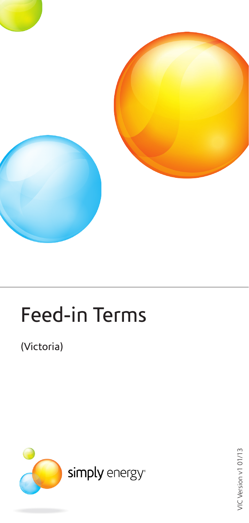

# Feed-in Terms

(Victoria)



VIC Version v1 01/13 VIC Version v1 01/13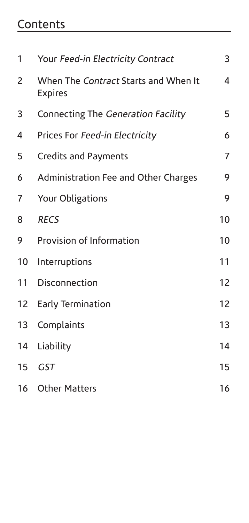# **Contents**

| 1               | Your Feed-in Electricity Contract                      | 3              |
|-----------------|--------------------------------------------------------|----------------|
| 2               | When The Contract Starts and When It<br><b>Expires</b> | 4              |
| 3               | Connecting The Generation Facility                     | 5              |
| 4               | Prices For Feed-in Electricity                         | 6              |
| 5               | <b>Credits and Payments</b>                            | $\overline{7}$ |
| 6               | Administration Fee and Other Charges                   | 9              |
| 7               | Your Obligations                                       | 9              |
| 8               | <b>RECS</b>                                            | 10             |
| 9               | Provision of Information                               | 10             |
| 10              | Interruptions                                          | 11             |
| 11              | Disconnection                                          | 12             |
| 12 <sup>2</sup> | Early Termination                                      | 12             |
| 13              | Complaints                                             | 13             |
| 14              | Liability                                              | 14             |
| 15              | <b>GST</b>                                             | 15             |
| 16 <sup>1</sup> | <b>Other Matters</b>                                   | 16             |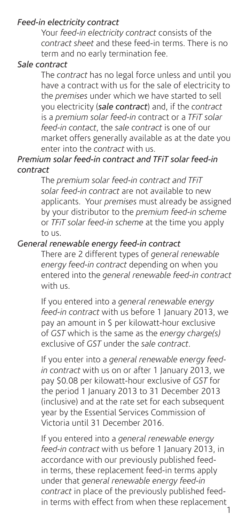#### *Feed-in electricity contract*

Your *feed-in electricity contract* consists of the *contract sheet* and these feed-in terms. There is no term and no early termination fee.

#### *Sale contract*

The *contract* has no legal force unless and until you have a contract with us for the sale of electricity to the *premises* under which we have started to sell you electricity (*sale contract*) and, if the *contract*  is a *premium solar feed-in* contract or a *TFiT solar feed-in contact*, the *sale contract* is one of our market offers generally available as at the date you enter into the *contract* with us.

#### *Premium solar feed-in contract and TFiT solar feed-in contract*

The *premium solar feed-in contract and TFiT solar feed-in contract* are not available to new applicants. Your *premises* must already be assigned by your distributor to the *premium feed-in scheme* or *TFiT solar feed-in scheme* at the time you apply to us.

#### *General renewable energy feed-in contract*

There are 2 different types of *general renewable energy feed-in contract* depending on when you entered into the *general renewable feed-in contract* with us.

If you entered into a *general renewable energy feed-in contract* with us before 1 January 2013, we pay an amount in \$ per kilowatt-hour exclusive of *GST* which is the same as the *energy charge(s)* exclusive of *GST* under the *sale contract*.

If you enter into a *general renewable energy feedin contract* with us on or after 1 January 2013, we pay \$0.08 per kilowatt-hour exclusive of *GST* for the period 1 January 2013 to 31 December 2013 (inclusive) and at the rate set for each subsequent year by the Essential Services Commission of Victoria until 31 December 2016.

If you entered into a *general renewable energy feed-in contract* with us before 1 January 2013, in accordance with our previously published feedin terms, these replacement feed-in terms apply under that *general renewable energy feed-in contract* in place of the previously published feedin terms with effect from when these replacement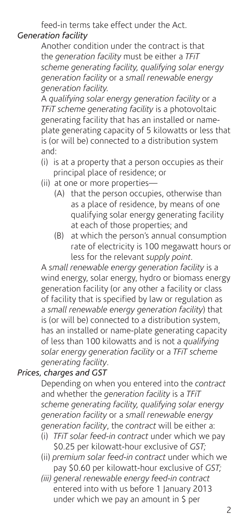feed-in terms take effect under the Act.

#### *Generation facility*

Another condition under the contract is that the *generation facility* must be either a *TFiT scheme generating facility, qualifying solar energy generation facility* or a *small renewable energy generation facility.*

A *qualifying solar energy generation facility* or a *TFiT scheme generating facility* is a photovoltaic generating facility that has an installed or nameplate generating capacity of 5 kilowatts or less that is (or will be) connected to a distribution system and:

- (i) is at a property that a person occupies as their principal place of residence; or
- (ii) at one or more properties—
	- (A) that the person occupies, otherwise than as a place of residence, by means of one qualifying solar energy generating facility at each of those properties; and
	- (B) at which the person's annual consumption rate of electricity is 100 megawatt hours or less for the relevant *supply point.*

A *small renewable energy generation facility* is a wind energy, solar energy, hydro or biomass energy generation facility (or any other a facility or class of facility that is specified by law or regulation as a *small renewable energy generation facility*) that is (or will be) connected to a distribution system, has an installed or name-plate generating capacity of less than 100 kilowatts and is not a *qualifying solar energy generation facility* or a *TFiT scheme generating facility*.

#### *Prices, charges and GST*

Depending on when you entered into the *contract* and whether the *generation facility* is a *TFiT scheme generating facility, qualifying solar energy generation facility* or a *small renewable energy generation facility*, the *contract* will be either a:

- (i) *TFiT solar feed-in contract* under which we pay \$0.25 per kilowatt-hour exclusive of *GST;*
- (ii) *premium solar feed-in contract* under which we pay \$0.60 per kilowatt-hour exclusive of *GST;*
- *(iii) general renewable energy feed-in contract* entered into with us before 1 January 2013 under which we pay an amount in \$ per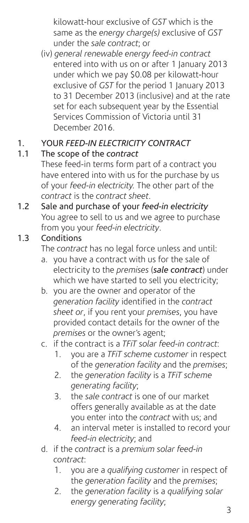kilowatt-hour exclusive of *GST* which is the same as the *energy charge(s)* exclusive of *GST* under the *sale contract*; or

 (iv) *general renewable energy feed-in contract*  entered into with us on or after 1 January 2013 under which we pay \$0.08 per kilowatt-hour exclusive of *GST* for the period 1 January 2013 to 31 December 2013 (inclusive) and at the rate set for each subsequent year by the Essential Services Commission of Victoria until 31 December 2016.

# 1. YOUR *FEED-IN ELECTRICITY CONTRACT*

#### 1.1 The scope of the *contract*

These feed-in terms form part of a contract you have entered into with us for the purchase by us of your *feed-in electricity.* The other part of the *contract* is the *contract sheet*.

1.2 Sale and purchase of your *feed-in electricity* You agree to sell to us and we agree to purchase from you your *feed-in electricity*.

#### 1.3 Conditions

The *contract* has no legal force unless and until:

- a. you have a contract with us for the sale of electricity to the *premises* (*sale contract*) under which we have started to sell you electricity;
- b. you are the owner and operator of the *generation facility* identified in the *contract sheet or*, if you rent your *premises*, you have provided contact details for the owner of the *premises* or the owner's agent;
- c. if the contract is a *TFiT solar feed-in contract*:
	- 1. you are a *TFiT scheme customer* in respect of the *generation facility* and the *premises*;
	- 2. the *generation facility* is a *TFiT scheme generating facility*;
	- 3. the *sale contract* is one of our market offers generally available as at the date you enter into the *contract* with us; and
	- 4. an interval meter is installed to record your *feed-in electricity*; and
- d. if the *contract* is a *premium solar feed-in contract*:
	- 1. you are a *qualifying customer* in respect of the *generation facility* and the *premises*;
	- 2. the *generation facility* is a *qualifying solar energy generating facility*;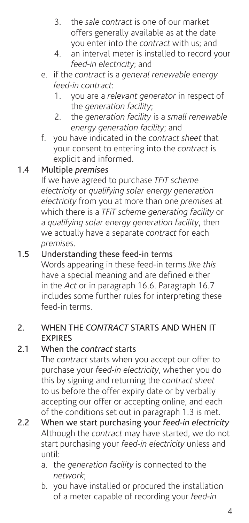- 3. the *sale contract* is one of our market offers generally available as at the date you enter into the *contract* with us; and
- 4. an interval meter is installed to record your *feed-in electricity*; and
- e. if the *contract* is a *general renewable energy feed-in contract*:
	- 1. you are a *relevant generator* in respect of the *generation facility*;
	- 2. the *generation facility* is a *small renewable energy generation facility*; and
- f. you have indicated in the *contract sheet* that your consent to entering into the *contract* is explicit and informed.

# 1.4 Multiple *premises*

If we have agreed to purchase *TFiT scheme electricity* or *qualifying solar energy generation electricity* from you at more than one *premises* at which there is a *TFiT scheme generating facility* or a *qualifying solar energy generation facility*, then we actually have a separate *contract* for each *premises*.

#### 1.5 Understanding these feed-in terms

Words appearing in these feed-in terms *like this* have a special meaning and are defined either in the *Act* or in paragraph 16.6. Paragraph 16.7 includes some further rules for interpreting these feed-in terms.

#### 2. WHEN THE *CONTRACT* STARTS AND WHEN IT EXPIRES

#### 2.1 When the *contract* starts

The *contract* starts when you accept our offer to purchase your *feed-in electricity*, whether you do this by signing and returning the *contract sheet*  to us before the offer expiry date or by verbally accepting our offer or accepting online, and each of the conditions set out in paragraph 1.3 is met.

- 2.2 When we start purchasing your *feed-in electricity* Although the *contract* may have started, we do not start purchasing your *feed-in electricity* unless and until:
	- a. the *generation facility* is connected to the *network*;
	- b. you have installed or procured the installation of a meter capable of recording your *feed-in*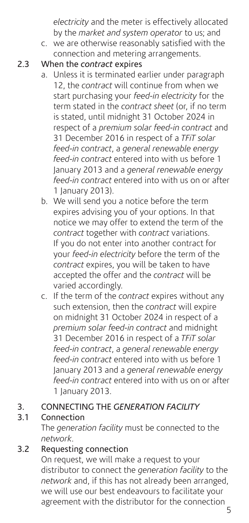*electricity* and the meter is effectively allocated by the *market and system operator* to us; and

 c. we are otherwise reasonably satisfied with the connection and metering arrangements.

#### 2.3 When the *contract* expires

- a. Unless it is terminated earlier under paragraph 12, the *contract* will continue from when we start purchasing your *feed-in electricity* for the term stated in the *contract sheet* (or, if no term is stated, until midnight 31 October 2024 in respect of a *premium solar feed-in contract* and 31 December 2016 in respect of a *TFiT solar feed-in contract*, a *general renewable energy feed-in contract* entered into with us before 1 January 2013 and a *general renewable energy feed-in contract* entered into with us on or after 1 January 2013).
- b. We will send you a notice before the term expires advising you of your options. In that notice we may offer to extend the term of the *contract* together with *contract* variations. If you do not enter into another contract for your *feed-in electricity* before the term of the *contract* expires, you will be taken to have accepted the offer and the *contract* will be varied accordingly.
- c. If the term of the *contract* expires without any such extension, then the *contract* will expire on midnight 31 October 2024 in respect of a *premium solar feed-in contract* and midnight 31 December 2016 in respect of a *TFiT solar feed-in contract*, a *general renewable energy feed-in contract* entered into with us before 1 January 2013 and a *general renewable energy feed-in contract* entered into with us on or after 1 January 2013.

#### 3. CONNECTING THE *GENERATION FACILITY*

# 3.1 Connection

The *generation facility* must be connected to the *network*.

# 3.2 Requesting connection

On request, we will make a request to your distributor to connect the *generation facility* to the *network* and, if this has not already been arranged, we will use our best endeavours to facilitate your agreement with the distributor for the connection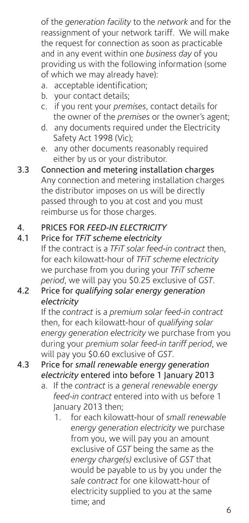of the *generation facility* to the *network* and for the reassignment of your network tariff. We will make the request for connection as soon as practicable and in any event within one *business day* of you providing us with the following information (some of which we may already have):

- a. acceptable identification;
- b. your contact details:
- c. if you rent your *premises*, contact details for the owner of the *premises* or the owner's agent;
- d. any documents required under the Electricity Safety Act 1998 (Vic);
- e. any other documents reasonably required either by us or your distributor.
- 3.3 Connection and metering installation charges Any connection and metering installation charges the distributor imposes on us will be directly passed through to you at cost and you must reimburse us for those charges.

#### 4. PRICES FOR *FEED-IN ELECTRICITY*

#### 4.1 Price for *TFiT scheme electricity*

If the contract is a *TFiT solar feed-in contract* then, for each kilowatt-hour of *TFiT scheme electricity* we purchase from you during your *TFiT scheme period*, we will pay you \$0.25 exclusive of *GST*.

#### 4.2 Price for *qualifying solar energy generation electricity*

If the *contract* is a *premium solar feed-in contract* then, for each kilowatt-hour of *qualifying solar energy generation electricity* we purchase from you during your *premium solar feed-in tariff period*, we will pay you \$0.60 exclusive of *GST*.

- 4.3 Price for *small renewable energy generation electricity* entered into before 1 January 2013
	- a. If the *contract* is a *general renewable energy feed-in contract* entered into with us before 1 January 2013 then;
		- 1. for each kilowatt-hour of *small renewable energy generation electricity* we purchase from you, we will pay you an amount exclusive of *GST* being the same as the *energy charge(s)* exclusive of *GST* that would be payable to us by you under the *sale contract* for one kilowatt-hour of electricity supplied to you at the same time; and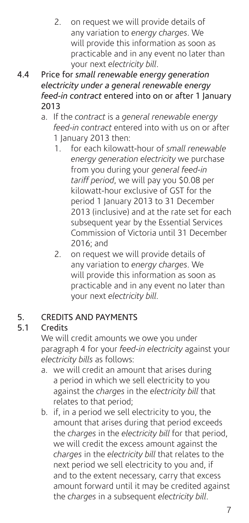- 2. on request we will provide details of any variation to *energy charges*. We will provide this information as soon as practicable and in any event no later than your next *electricity bill*.
- 4.4 Price for *small renewable energy generation electricity under a general renewable energy feed-in contract* entered into on or after 1 January 2013
	- a. If the *contract* is a *general renewable energy feed-in contract* entered into with us on or after 1 January 2013 then:
		- 1. for each kilowatt-hour of *small renewable energy generation electricity* we purchase from you during your *general feed-in tariff period*, we will pay you \$0.08 per kilowatt-hour exclusive of GST for the period 1 January 2013 to 31 December 2013 (inclusive) and at the rate set for each subsequent year by the Essential Services Commission of Victoria until 31 December 2016; and
		- 2. on request we will provide details of any variation to *energy charges*. We will provide this information as soon as practicable and in any event no later than your next *electricity bill.*

# 5. CREDITS AND PAYMENTS<br>5.1 Credits

# 5.1 Credits

We will credit amounts we owe you under paragraph 4 for your *feed-in electricity* against your *electricity bills* as follows:

- a. we will credit an amount that arises during a period in which we sell electricity to you against the *charges* in the *electricity bill* that relates to that period;
- b. if, in a period we sell electricity to you, the amount that arises during that period exceeds the *charges* in the *electricity bill* for that period, we will credit the excess amount against the *charges* in the *electricity bill* that relates to the next period we sell electricity to you and, if and to the extent necessary, carry that excess amount forward until it may be credited against the *charges* in a subsequent *electricity bill*.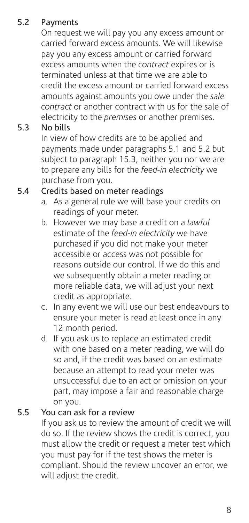# 5.2 Payments

On request we will pay you any excess amount or carried forward excess amounts. We will likewise pay you any excess amount or carried forward excess amounts when the *contract* expires or is terminated unless at that time we are able to credit the excess amount or carried forward excess amounts against amounts you owe under the *sale contract* or another contract with us for the sale of electricity to the *premises* or another premises.

#### 5.3 No bills

In view of how credits are to be applied and payments made under paragraphs 5.1 and 5.2 but subject to paragraph 15.3, neither you nor we are to prepare any bills for the *feed-in electricity* we purchase from you.

# 5.4 Credits based on meter readings

- a. As a general rule we will base your credits on readings of your meter.
- b. However we may base a credit on a *lawful* estimate of the *feed-in electricity* we have purchased if you did not make your meter accessible or access was not possible for reasons outside our control. If we do this and we subsequently obtain a meter reading or more reliable data, we will adjust your next credit as appropriate.
- c. In any event we will use our best endeavours to ensure your meter is read at least once in any 12 month period.
- d. If you ask us to replace an estimated credit with one based on a meter reading, we will do so and, if the credit was based on an estimate because an attempt to read your meter was unsuccessful due to an act or omission on your part, may impose a fair and reasonable charge on you.

#### 5.5 You can ask for a review

If you ask us to review the amount of credit we will do so. If the review shows the credit is correct, you must allow the credit or request a meter test which you must pay for if the test shows the meter is compliant. Should the review uncover an error, we will adjust the credit.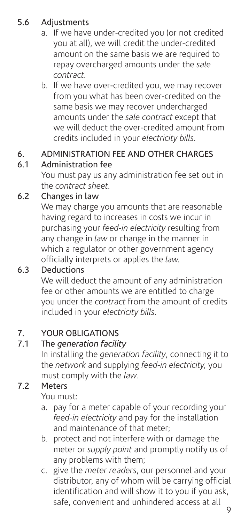# 5.6 Adjustments

- a. If we have under-credited you (or not credited you at all), we will credit the under-credited amount on the same basis we are required to repay overcharged amounts under the *sale contract.*
- b. If we have over-credited you, we may recover from you what has been over-credited on the same basis we may recover undercharged amounts under the *sale contract* except that we will deduct the over-credited amount from credits included in your *electricity bills*.

# 6. ADMINISTRATION FEE AND OTHER CHARGES

# 6.1 Administration fee

You must pay us any administration fee set out in the *contract sheet.*

# 6.2 Changes in law

We may charge you amounts that are reasonable having regard to increases in costs we incur in purchasing your *feed-in electricity* resulting from any change in *law* or change in the manner in which a regulator or other government agency officially interprets or applies the *law.*

# 6.3 Deductions

We will deduct the amount of any administration fee or other amounts we are entitled to charge you under the *contract* from the amount of credits included in your *electricity bills.*

#### 7. YOUR OBLIGATIONS

#### 7.1 The *generation facility*

In installing the *generation facility*, connecting it to the *network* and supplying *feed-in electricity,* you must comply with the *law*.

#### 7.2 Meters

You must:

- a. pay for a meter capable of your recording your *feed-in electricity* and pay for the installation and maintenance of that meter;
- b. protect and not interfere with or damage the meter or *supply point* and promptly notify us of any problems with them;
- c. give the *meter readers*, our personnel and your distributor, any of whom will be carrying official identification and will show it to you if you ask, safe, convenient and unhindered access at all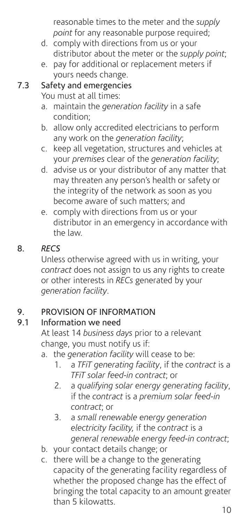reasonable times to the meter and the *supply point* for any reasonable purpose required;

- d. comply with directions from us or your distributor about the meter or the *supply point*;
- e. pay for additional or replacement meters if yours needs change.

# 7.3 Safety and emergencies

You must at all times:

- a. maintain the *generation facility* in a safe condition;
- b. allow only accredited electricians to perform any work on the *generation facility*;
- c. keep all vegetation, structures and vehicles at your *premises* clear of the *generation facility*;
- d. advise us or your distributor of any matter that may threaten any person's health or safety or the integrity of the network as soon as you become aware of such matters; and
- e. comply with directions from us or your distributor in an emergency in accordance with the law.

# 8. *RECS*

Unless otherwise agreed with us in writing, your *contract* does not assign to us any rights to create or other interests in *RECs* generated by your *generation facility*.

#### 9. PROVISION OF INFORMATION

# 9.1 Information we need

At least 14 *business days* prior to a relevant change, you must notify us if:

- a. the *generation facility* will cease to be:
	- 1. a *TFiT generating facility*, if the *contract* is a *TFiT solar feed-in contract*; or
	- 2. a *qualifying solar energy generating facility*, if the *contract* is a *premium solar feed-in contract*; or
	- 3. a *small renewable energy generation electricity facility,* if the *contract* is a *general renewable energy feed-in contract*;
- b. your contact details change; or
- c. there will be a change to the generating capacity of the generating facility regardless of whether the proposed change has the effect of bringing the total capacity to an amount greater than 5 kilowatts.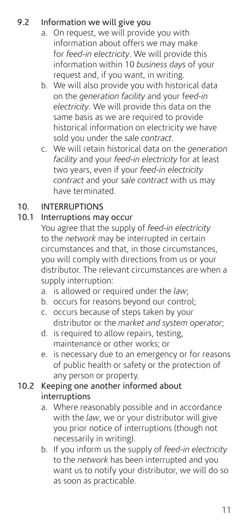# 9.2 Information we will give you

- a. On request, we will provide you with information about offers we may make for *feed-in electricity*. We will provide this information within 10 *business days* of your request and, if you want, in writing.
- b. We will also provide you with historical data on the *generation facility* and your f*eed-in electricity*. We will provide this data on the same basis as we are required to provide historical information on electricity we have sold you under the *sale contract*.
- c. We will retain historical data on the *generation facility* and your *feed-in electricity* for at least two years, even if your *feed-in electricity contract* and your *sale contract* with us may have terminated.

#### 10. INTERRUPTIONS

#### 10.1 Interruptions may occur

You agree that the supply of *feed-in electricity* to the *network* may be interrupted in certain circumstances and that, in those circumstances, you will comply with directions from us or your distributor. The relevant circumstances are when a supply interruption:

- a. is allowed or required under the *law*;
- b. occurs for reasons beyond our control;
- c. occurs because of steps taken by your distributor or the *market and system operator*;
- d. is required to allow repairs, testing, maintenance or other works; or
- e. is necessary due to an emergency or for reasons of public health or safety or the protection of any person or property.

#### 10.2 Keeping one another informed about interruptions

- a. Where reasonably possible and in accordance with the *law*, we or your distributor will give you prior notice of interruptions (though not necessarily in writing).
- b. If you inform us the supply of *feed-in electricity* to the *network* has been interrupted and you want us to notify your distributor, we will do so as soon as practicable.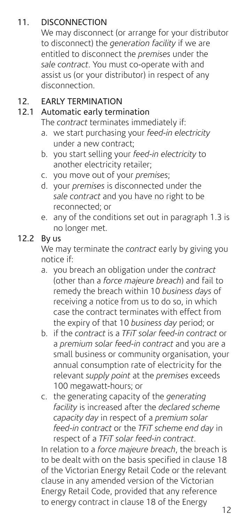### 11. DISCONNECTION

We may disconnect (or arrange for your distributor to disconnect) the *generation facility* if we are entitled to disconnect the *premises* under the *sale contract*. You must co-operate with and assist us (or your distributor) in respect of any disconnection.

# 12. EARLY TERMINATION<br>12.1 Automatic early term

#### Automatic early termination

The *contract* terminates immediately if:

- a. we start purchasing your *feed-in electricity* under a new contract;
- b. you start selling your *feed-in electricity* to another electricity retailer;
- c. you move out of your *premises*;
- d. your *premises* is disconnected under the *sale contract* and you have no right to be reconnected; or
- e. any of the conditions set out in paragraph 1.3 is no longer met.

#### 12.2 By us

We may terminate the *contract* early by giving you notice if:

- a. you breach an obligation under the *contract* (other than a *force majeure breach*) and fail to remedy the breach within 10 *business days* of receiving a notice from us to do so, in which case the contract terminates with effect from the expiry of that 10 *business day* period; or
- b. if the *contract* is a *TFiT solar feed-in contract* or a *premium solar feed-in contract* and you are a small business or community organisation, your annual consumption rate of electricity for the relevant *supply point* at the *premises* exceeds 100 megawatt-hours; or
- c. the generating capacity of the *generating facility* is increased after the *declared scheme capacity day* in respect of a *premium solar feed-in contract* or the *TFiT scheme end day* in respect of a *TFiT solar feed-in contract*.

In relation to a *force majeure breach*, the breach is to be dealt with on the basis specified in clause 18 of the Victorian Energy Retail Code or the relevant clause in any amended version of the Victorian Energy Retail Code, provided that any reference to energy contract in clause 18 of the Energy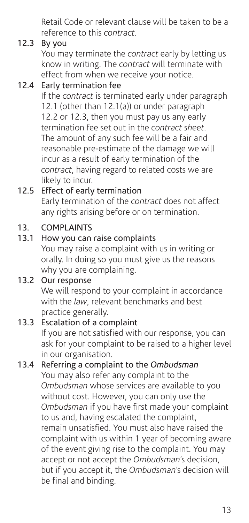Retail Code or relevant clause will be taken to be a reference to this *contract*.

#### 12.3 By you

You may terminate the *contract* early by letting us know in writing. The *contract* will terminate with effect from when we receive your notice.

#### 12.4 Early termination fee

If the *contract* is terminated early under paragraph 12.1 (other than 12.1(a)) or under paragraph 12.2 or 12.3, then you must pay us any early termination fee set out in the *contract sheet*. The amount of any such fee will be a fair and reasonable pre-estimate of the damage we will incur as a result of early termination of the *contract*, having regard to related costs we are likely to incur.

# 12.5 Effect of early termination

Early termination of the *contract* does not affect any rights arising before or on termination.

#### 13. COMPLAINTS

# 13.1 How you can raise complaints

You may raise a complaint with us in writing or orally. In doing so you must give us the reasons why you are complaining.

#### 13.2 Our response

We will respond to your complaint in accordance with the *law*, relevant benchmarks and best practice generally.

#### 13.3 Escalation of a complaint

If you are not satisfied with our response, you can ask for your complaint to be raised to a higher level in our organisation.

#### 13.4 Referring a complaint to the *Ombudsman*

You may also refer any complaint to the *Ombudsman* whose services are available to you without cost. However, you can only use the *Ombudsman* if you have first made your complaint to us and, having escalated the complaint, remain unsatisfied. You must also have raised the complaint with us within 1 year of becoming aware of the event giving rise to the complaint. You may accept or not accept the *Ombudsman*'s decision, but if you accept it, the *Ombudsman*'s decision will be final and binding.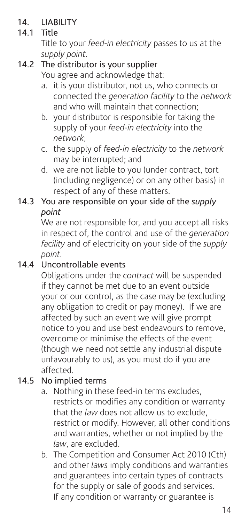# 14. LIABILITY<br>14.1 Title

#### **Title**

Title to your *feed-in electricity* passes to us at the *supply point.*

# 14.2 The distributor is your supplier

You agree and acknowledge that:

- a. it is your distributor, not us, who connects or connected the *generation facility* to the *network* and who will maintain that connection;
- b. your distributor is responsible for taking the supply of your *feed-in electricity* into the *network*;
- c. the supply of *feed-in electricity* to the *network* may be interrupted; and
- d. we are not liable to you (under contract, tort (including negligence) or on any other basis) in respect of any of these matters.

#### 14.3 You are responsible on your side of the *supply point*

We are not responsible for, and you accept all risks in respect of, the control and use of the *generation facility* and of electricity on your side of the *supply point.*

#### 14.4 Uncontrollable events

Obligations under the *contract* will be suspended if they cannot be met due to an event outside your or our control, as the case may be (excluding any obligation to credit or pay money). If we are affected by such an event we will give prompt notice to you and use best endeavours to remove, overcome or minimise the effects of the event (though we need not settle any industrial dispute unfavourably to us), as you must do if you are affected.

#### 14.5 No implied terms

- a. Nothing in these feed-in terms excludes, restricts or modifies any condition or warranty that the *law* does not allow us to exclude, restrict or modify. However, all other conditions and warranties, whether or not implied by the *law*, are excluded.
- b. The Competition and Consumer Act 2010 (Cth) and other *laws* imply conditions and warranties and guarantees into certain types of contracts for the supply or sale of goods and services. If any condition or warranty or guarantee is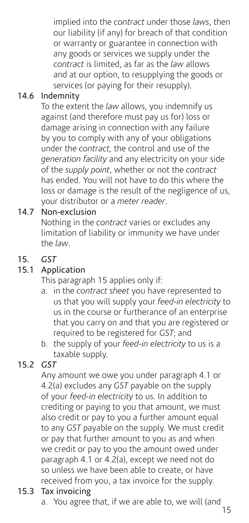implied into the *contract* under those *laws*, then our liability (if any) for breach of that condition or warranty or guarantee in connection with any goods or services we supply under the *contract* is limited, as far as the *law* allows and at our option, to resupplying the goods or services (or paying for their resupply).

# 14.6 Indemnity

To the extent the *law* allows, you indemnify us against (and therefore must pay us for) loss or damage arising in connection with any failure by you to comply with any of your obligations under the *contract,* the control and use of the *generation facility* and any electricity on your side of the *supply point*, whether or not the *contract* has ended. You will not have to do this where the loss or damage is the result of the negligence of us, your distributor or a *meter reader*.

#### 14.7 Non-exclusion

Nothing in the *contract* varies or excludes any limitation of liability or immunity we have under the *law*.

# 15. *GST*

#### 15.1 Application

This paragraph 15 applies only if:

- a. in the *contract sheet* you have represented to us that you will supply your *feed-in electricity* to us in the course or furtherance of an enterprise that you carry on and that you are registered or required to be registered for *GST*; and
- b. the supply of your *feed-in electricity* to us is a taxable supply.

#### 15.2 *GST*

Any amount we owe you under paragraph 4.1 or 4.2(a) excludes any *GST* payable on the supply of your *feed-in electricity* to us. In addition to crediting or paying to you that amount, we must also credit or pay to you a further amount equal to any *GST* payable on the supply. We must credit or pay that further amount to you as and when we credit or pay to you the amount owed under paragraph 4.1 or 4.2(a), except we need not do so unless we have been able to create, or have received from you, a tax invoice for the supply.

#### 15.3 Tax invoicing

a. You agree that, if we are able to, we will (and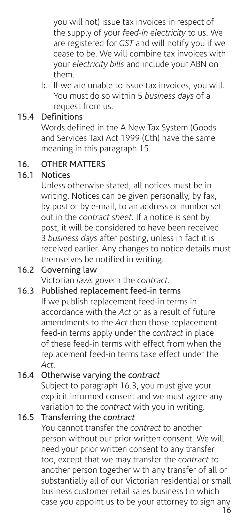you will not) issue tax invoices in respect of the supply of your *feed-in electricity* to us. We are registered for *GST* and will notify you if we cease to be. We will combine tax invoices with your *electricity bills* and include your ABN on them.

 b. If we are unable to issue tax invoices, you will. You must do so within 5 *business days* of a request from us.

### 15.4 Definitions

Words defined in the A New Tax System (Goods and Services Tax) Act 1999 (Cth) have the same meaning in this paragraph 15.

#### 16. OTHER MATTERS

#### 16.1 Notices

Unless otherwise stated, all notices must be in writing. Notices can be given personally, by fax, by post or by e-mail, to an address or number set out in the *contract sheet.* If a notice is sent by post, it will be considered to have been received 3 *business days* after posting, unless in fact it is received earlier. Any changes to notice details must themselves be notified in writing.

#### 16.2 Governing law

Victorian *laws* govern the *contract.*

#### 16.3 Published replacement feed-in terms

If we publish replacement feed-in terms in accordance with the *Act* or as a result of future amendments to the *Act* then those replacement feed-in terms apply under the *contract* in place of these feed-in terms with effect from when the replacement feed-in terms take effect under the *Act*.

#### 16.4 Otherwise varying the *contract*

Subject to paragraph 16.3, you must give your explicit informed consent and we must agree any variation to the *contract* with you in writing.

#### 16.5 Transferring the *contract*

You cannot transfer the *contract* to another person without our prior written consent. We will need your prior written consent to any transfer too, except that we may transfer the *contract* to another person together with any transfer of all or substantially all of our Victorian residential or small business customer retail sales business (in which case you appoint us to be your attorney to sign any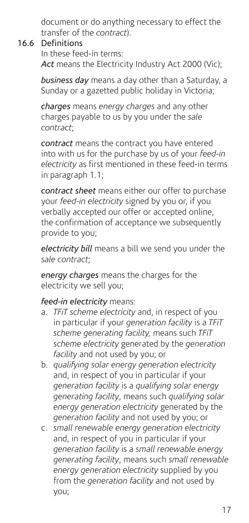document or do anything necessary to effect the transfer of the *contract*).

#### 16.6 Definitions

In these feed-in terms: *Act* means the Electricity Industry Act 2000 (Vic);

*business day* means a day other than a Saturday, a Sunday or a gazetted public holiday in Victoria;

*charges* means *energy charges* and any other charges payable to us by you under the *sale contract*;

*contract* means the contract you have entered into with us for the purchase by us of your *feed-in electricity* as first mentioned in these feed-in terms in paragraph 1.1;

*contract sheet* means either our offer to purchase your *feed-in electricity* signed by you or, if you verbally accepted our offer or accepted online, the confirmation of acceptance we subsequently provide to you;

*electricity bill* means a bill we send you under the *sale contract*;

*energy charges* means the charges for the electricity we sell you;

#### *feed-in electricity* means:

- a. *TFiT scheme electricity* and, in respect of you in particular if your *generation facility* is a *TFiT scheme generating facility,* means such *TFiT scheme electricity* generated by the *generation facility* and not used by you; or
- b. *qualifying solar energy generation electricity* and, in respect of you in particular if your *generation facility* is a *qualifying solar energy generating facility*, means such *qualifying solar energy generation electricity* generated by the *generation facility* and not used by you; or
- c. *small renewable energy generation electricity* and, in respect of you in particular if your *generation facility* is a *small renewable energy generating facility*, means such *small renewable energy generation electricity* supplied by you from the *generation facility* and not used by you;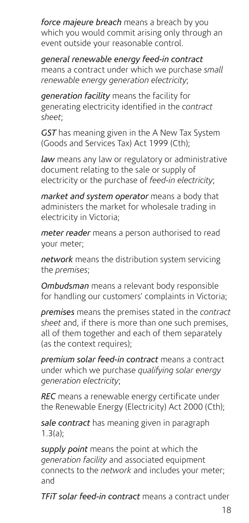*force majeure breach* means a breach by you which you would commit arising only through an event outside your reasonable control.

*general renewable energy feed-in contract*  means a contract under which we purchase *small renewable energy generation electricity*;

*generation facility* means the facility for generating electricity identified in the *contract sheet*;

*GST* has meaning given in the A New Tax System (Goods and Services Tax) Act 1999 (Cth);

*law* means any law or regulatory or administrative document relating to the sale or supply of electricity or the purchase of *feed-in electricity*;

*market and system operator* means a body that administers the market for wholesale trading in electricity in Victoria;

*meter reader* means a person authorised to read your meter;

*network* means the distribution system servicing the *premises*;

*Ombudsman* means a relevant body responsible for handling our customers' complaints in Victoria;

*premises* means the premises stated in the *contract sheet* and, if there is more than one such premises, all of them together and each of them separately (as the context requires);

*premium solar feed-in contract* means a contract under which we purchase *qualifying solar energy generation electricity*;

*REC* means a renewable energy certificate under the Renewable Energy (Electricity) Act 2000 (Cth);

*sale contract* has meaning given in paragraph  $1.3(a)$ 

*supply point* means the point at which the *generation facility* and associated equipment connects to the *network* and includes your meter; and

*TFiT solar feed-in contract* means a contract under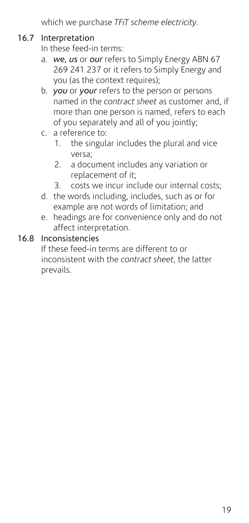which we purchase *TFiT scheme electricity*.

#### 16.7 Interpretation

In these feed-in terms:

- a. *we, us* or *our* refers to Simply Energy ABN 67 269 241 237 or it refers to Simply Energy and you (as the context requires);
- b. *you* or *your* refers to the person or persons named in the *contract sheet* as customer and, if more than one person is named, refers to each of you separately and all of you jointly;
- c. a reference to:
	- 1. the singular includes the plural and vice versa;
	- 2. a document includes any variation or replacement of it;
	- 3. costs we incur include our internal costs;
- d. the words including, includes, such as or for example are not words of limitation; and
- e. headings are for convenience only and do not affect interpretation.

#### 16.8 Inconsistencies

If these feed-in terms are different to or inconsistent with the *contract sheet*, the latter prevails.